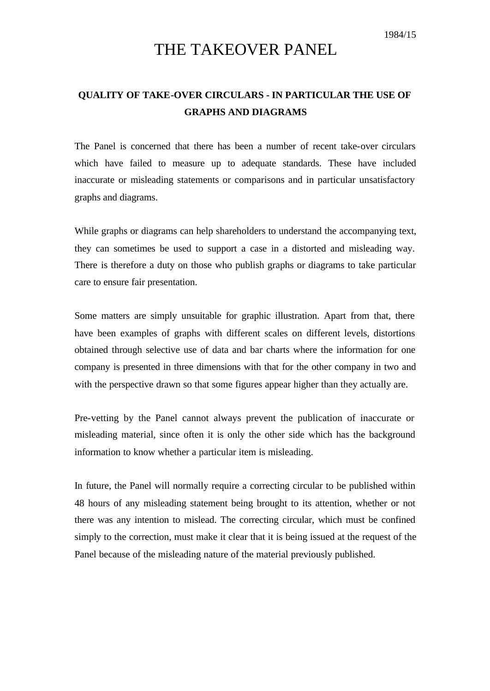## THE TAKEOVER PANEL

## **QUALITY OF TAKE-OVER CIRCULARS - IN PARTICULAR THE USE OF GRAPHS AND DIAGRAMS**

The Panel is concerned that there has been a number of recent take-over circulars which have failed to measure up to adequate standards. These have included inaccurate or misleading statements or comparisons and in particular unsatisfactory graphs and diagrams.

While graphs or diagrams can help shareholders to understand the accompanying text, they can sometimes be used to support a case in a distorted and misleading way. There is therefore a duty on those who publish graphs or diagrams to take particular care to ensure fair presentation.

Some matters are simply unsuitable for graphic illustration. Apart from that, there have been examples of graphs with different scales on different levels, distortions obtained through selective use of data and bar charts where the information for one company is presented in three dimensions with that for the other company in two and with the perspective drawn so that some figures appear higher than they actually are.

Pre-vetting by the Panel cannot always prevent the publication of inaccurate or misleading material, since often it is only the other side which has the background information to know whether a particular item is misleading.

In future, the Panel will normally require a correcting circular to be published within 48 hours of any misleading statement being brought to its attention, whether or not there was any intention to mislead. The correcting circular, which must be confined simply to the correction, must make it clear that it is being issued at the request of the Panel because of the misleading nature of the material previously published.